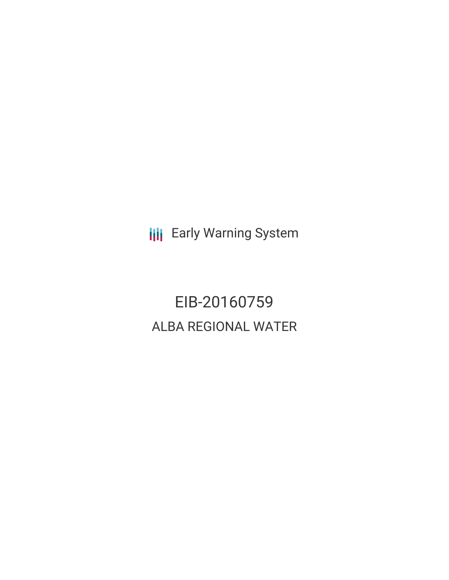**III** Early Warning System

EIB-20160759 ALBA REGIONAL WATER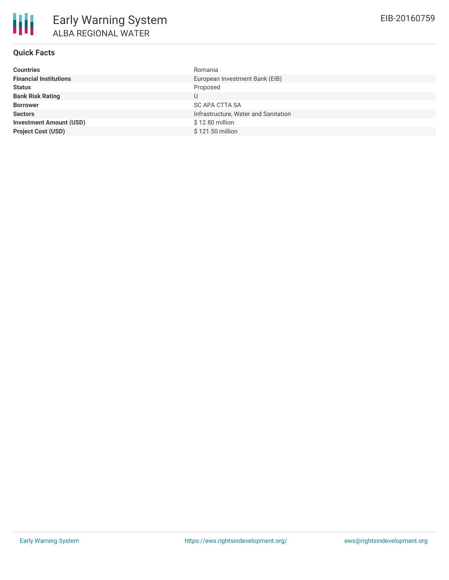# **Quick Facts**

| <b>Countries</b>               | Romania                              |
|--------------------------------|--------------------------------------|
| <b>Financial Institutions</b>  | European Investment Bank (EIB)       |
| <b>Status</b>                  | Proposed                             |
| <b>Bank Risk Rating</b>        | U                                    |
| <b>Borrower</b>                | <b>SC APA CTTA SA</b>                |
| <b>Sectors</b>                 | Infrastructure, Water and Sanitation |
| <b>Investment Amount (USD)</b> | \$12.80 million                      |
| <b>Project Cost (USD)</b>      | \$121.50 million                     |
|                                |                                      |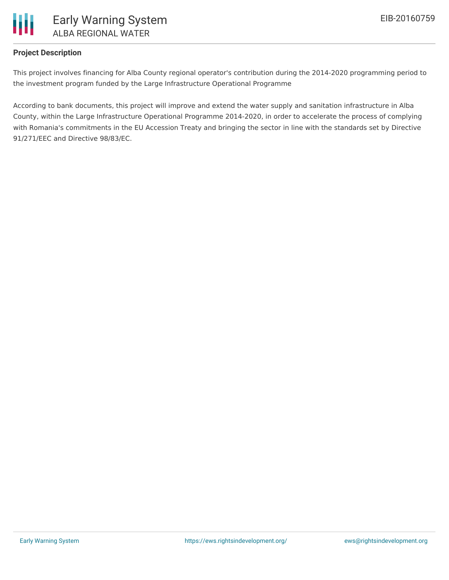

## **Project Description**

This project involves financing for Alba County regional operator's contribution during the 2014-2020 programming period to the investment program funded by the Large Infrastructure Operational Programme

According to bank documents, this project will improve and extend the water supply and sanitation infrastructure in Alba County, within the Large Infrastructure Operational Programme 2014-2020, in order to accelerate the process of complying with Romania's commitments in the EU Accession Treaty and bringing the sector in line with the standards set by Directive 91/271/EEC and Directive 98/83/EC.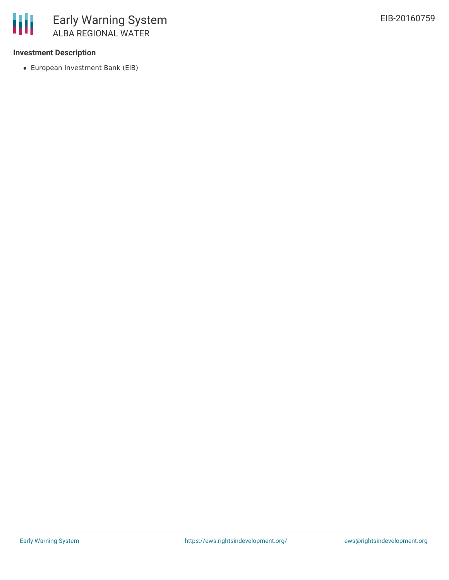## **Investment Description**

冊

European Investment Bank (EIB)